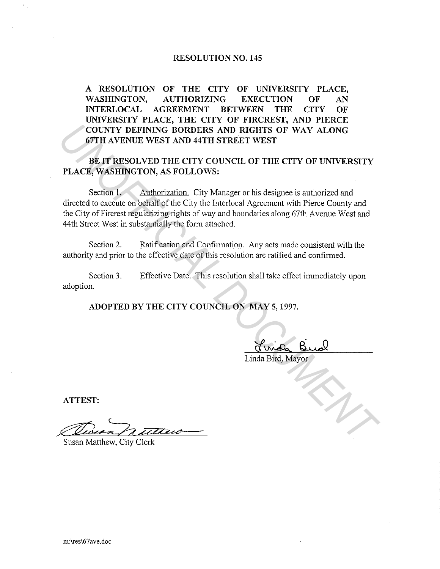## **RESOLUTION NO. 145**

**A RESOLUTION OF THE CITY OF UNIVERSITY PLACE, WASHINGTON, AUTHORIZING EXECUTION OF AN INTERLOCAL AGREEMENT BETWEEN THE CITY OF UNIVERSITY PLACE, THE CITY OF FIRCREST, AND PIERCE COUNTY DEFINING BORDERS AND RIGHTS OF WAY ALONG 67TH A VENUE WEST AND 44TH STREET WEST** 

**BE IT RESOLVED THE CITY COUNCIL OF THE CITY OF UNIVERSITY PLACE, WASHINGTON, AS FOLLOWS:** 

Section 1. Authorization. City Manager or his designee is authorized and directed to execute on behalf of the City the Interlocal Agreement with Pierce County and the City of Fircrest regularizing rights of way and boundaries along 67th Avenue West and 44th Street West in substantially the form attached. **COUNTY DEFINING BORDERS AND RIGHTS OF WAY ALONG**<br> **USER AVENUE WEST AND 44TH STREET WEST**<br> **PLACE, WASHINGTON, AS FOLLOWS:**<br> **PLACE, WASHINGTON, AS FOLLOWS:**<br> **PLACE, WASHINGTON, AS FOLLOWS:**<br>
Section 1. Anthonization, Ci

Section 2. Ratification and Confirmation. Any acts made consistent with the authority and prior to the effective date of this resolution are ratified and confirmed.

Section 3. adoption. Effective Date. This resolution shall take effect immediately upon

**ADOPTED BY THE CITY COUNCIL ON MAY 5, 1997.** 

Linda Bird, Mayor

**ATTEST:** 

Queen nuttero

Susan Matthew, City Clerk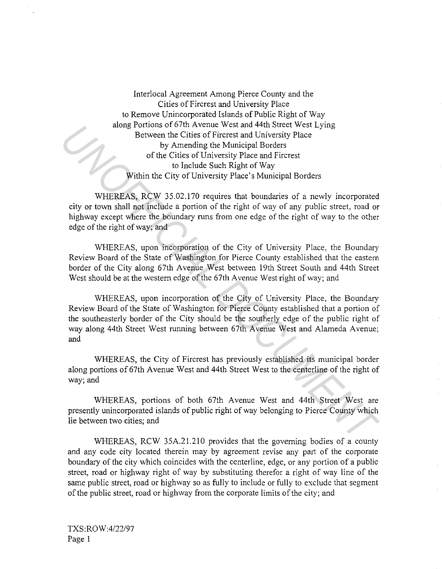Interlocal Agreement Among Pierce County and the Cities of Fircrest and University Place to Remove Unincorporated Islands of Public Right of Way along Portions of 67th Avenue West and 44th Street West Lying Between the Cities of Fircrest and University Place by Amending the Municipal Borders of the Cities of University Place and Fircrest to Include Such Right of Way Within the City of University Place's Municipal Borders

WHEREAS, RCW 35.02.170 requires that boundaries of a newly incorporated city or town shall not include a portion of the right of way of any public street, road or highway except where the boundary runs from one edge of the right of way to the other edge of the right of way; and

WHEREAS, upon incorporation of the City of University Place, the Boundary Review Board of the State of Washington for Pierce County established that the eastern border of the City along 67th Avenue West between 19th Street South and 44th Street West should be at the western edge of the 67th Avenue West right of way; and

WHEREAS, upon incorporation of the City of University Place, the Boundary Review Board of the State of Washington for Pierce County established that a portion of the southeasterly border of the City should be the southerly edge of the public right of way along 44th Street West running between 67th Avenue West and Alameda Avenue; and **Example the City solution of the Authority Week and Hirdustary Precise of the Cites of Ficterst and University Place<br>
by Amendmandt Borders<br>
US Amendmandt Borders<br>
US Amendmandt Right of Way<br>
US Amendmandt Incide Such Rig** 

WHEREAS, the City of Fircrest has previously established its municipal border along portions of67th Avenue West and 44th Street West to the centerline of the right of way; and

WHEREAS, portions of both 67th Avenue West and 44th Street West are presently unincorporated islands of public right of way belonging to Pierce County which lie between two cities; and

WHEREAS, RCW 35A.2!.210 provides that the governing bodies of a county and any code city located therein may by agreement revise any part of the corporate boundary of the city which coincides with the centerline, edge, or any portion of a public street, road or highway right of way by substituting therefor a right of way line of the same public street, road or highway so as fully to include or fully to exclude that segment of the public street, road or highway from the corporate limits of the city; and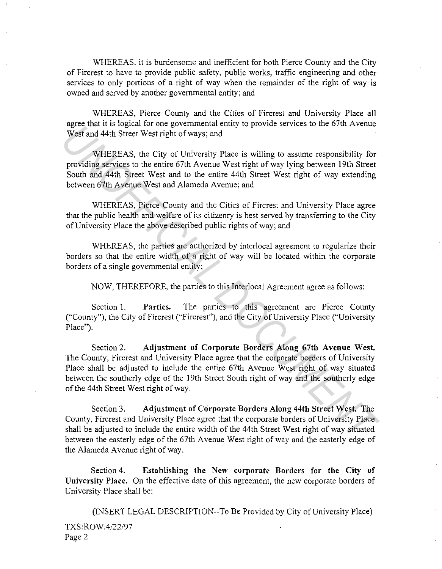WHEREAS, it is burdensome and inefficient for both Pierce County and the City of Fircrest to have to provide public safety, public works, traffic engineering and other services to only portions of a right of way when the remainder of the right of way is owned and served by another governmental entity; and

WHEREAS, Pierce County and the Cities of Fircrest and University Place all agree that it is logical for one governmental entity to provide services to the 67th Avenue West and 44th Street West right of ways; and

WHEREAS, the City of University Place is willing to assume responsibility for providing services to the entire 67th Avenue West right of way lying between 19th Street South and 44th Street West and to the entire 44th Street West right of way extending between 67th Avenue West and Alameda Avenue; and

WHEREAS, Pierce County and the Cities of Fircrest and University Place agree that the public health and welfare of its citizenry is best served by transferring to the City of University Place the above described public rights of way; and

WHEREAS, the parties are authorized by interlocal agreement to regularize their borders so that the entire width of a right of way will be located within the corporate borders of a single governmental entity;

NOW, THEREFORE, the parties to this Interlocal Agreement agree as follows:

Section 1. Parties. The parties to this agreement are Pierce County ("County"), the City of Fircrest ("Fircrest"), and the City of University Place ("University Place").

Section 2. Adjustment of Corporate Borders Along 67th Avenue West. The County, Fircrest and University Place agree that the corporate borders of University Place shall be adjusted to include the entire 67th Avenue West right of way situated between the southerly edge of the 19th Street South right of way and the southerly edge of the 44th Street West right of way. age and its logacat of total governmental entity to provide satures on the oral recent<br>West and 44th Street West right of ways; and<br>WHEREAS, the City of University Place is willing to assume responsibility for<br>providing se

Section 3. Adjustment of Corporate Borders Along 44th Street West. The County, Fircrest and University Place agree that the corporate borders of University Place shall be adjusted to include the entire width of the 44th Street West right of way situated between the easterly edge of the 67th Avenue West right of way and the easterly edge of the Alameda Avenue right of way.

Section 4. Establishing the New corporate Borders for the City of University Place. On the effective date of this agreement, the new corporate borders of University Place shall be:

(INSERT LEGAL DESCRIPTION--To Be Provided by City of University Place) TXS:ROW:4/22/97 Page 2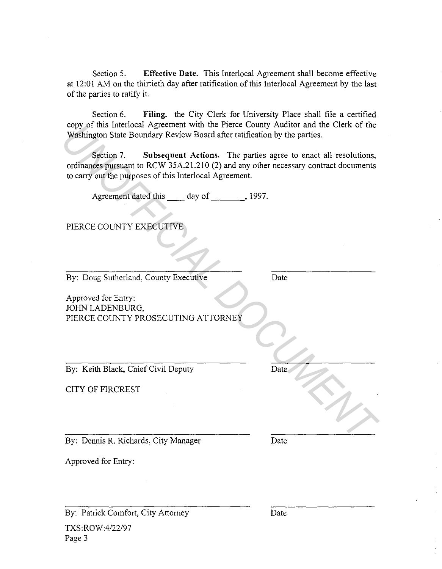Section 5. **Effective Date.** This Interlocal Agreement shall become effective at 12:01 AM on the thirtieth day after ratification of this Interlocal Agreement by the last of the parties to ratify it.

Section 6. **Filing.** the City Clerk for University Place shall file a certified copy of this Interlocal Agreement with the Pierce County Auditor and the Clerk of the Washington State Boundary Review Board after ratification by the parties.

## PIERCE COUNTY EXECUTIVE

| By: Patrick Comfort, City Attorney                                                                                                                                 | Date                                                            |
|--------------------------------------------------------------------------------------------------------------------------------------------------------------------|-----------------------------------------------------------------|
| Approved for Entry:                                                                                                                                                |                                                                 |
| By: Dennis R. Richards, City Manager                                                                                                                               | Date                                                            |
|                                                                                                                                                                    |                                                                 |
| <b>CITY OF FIRCREST</b>                                                                                                                                            |                                                                 |
| By: Keith Black, Chief Civil Deputy                                                                                                                                | Date                                                            |
| JOHN LADENBURG,<br>PIERCE COUNTY PROSECUTING ATTORNEY                                                                                                              |                                                                 |
| Approved for Entry:                                                                                                                                                |                                                                 |
| By: Doug Sutherland, County Executive                                                                                                                              | Date                                                            |
| PIERCE COUNTY EXECUTIVE                                                                                                                                            |                                                                 |
| Agreement dated this _____ day of _________, 1997.                                                                                                                 |                                                                 |
| Section 7.<br>ordinances pursuant to RCW 35A.21.210 (2) and any other necessary contract documents<br>to carry out the purposes of this Interlocal Agreement.      | Subsequent Actions. The parties agree to enact all resolutions, |
| copy of this interfocal Agreement with the Pierce County Auditor and the Clerk of the<br>Washington State Boundary Review Board after ratification by the parties. |                                                                 |